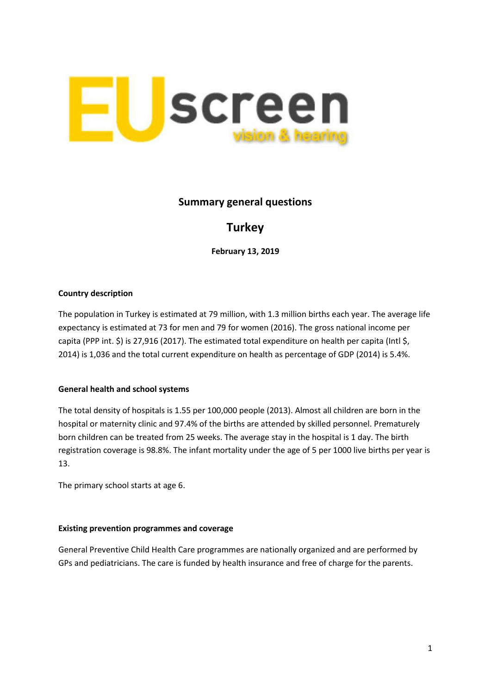

# **Summary general questions**

# **Turkey**

**February 13, 2019**

### **Country description**

The population in Turkey is estimated at 79 million, with 1.3 million births each year. The average life expectancy is estimated at 73 for men and 79 for women (2016). The gross national income per capita (PPP int. \$) is 27,916 (2017). The estimated total expenditure on health per capita (Intl \$, 2014) is 1,036 and the total current expenditure on health as percentage of GDP (2014) is 5.4%.

#### **General health and school systems**

The total density of hospitals is 1.55 per 100,000 people (2013). Almost all children are born in the hospital or maternity clinic and 97.4% of the births are attended by skilled personnel. Prematurely born children can be treated from 25 weeks. The average stay in the hospital is 1 day. The birth registration coverage is 98.8%. The infant mortality under the age of 5 per 1000 live births per year is 13.

The primary school starts at age 6.

#### **Existing prevention programmes and coverage**

General Preventive Child Health Care programmes are nationally organized and are performed by GPs and pediatricians. The care is funded by health insurance and free of charge for the parents.